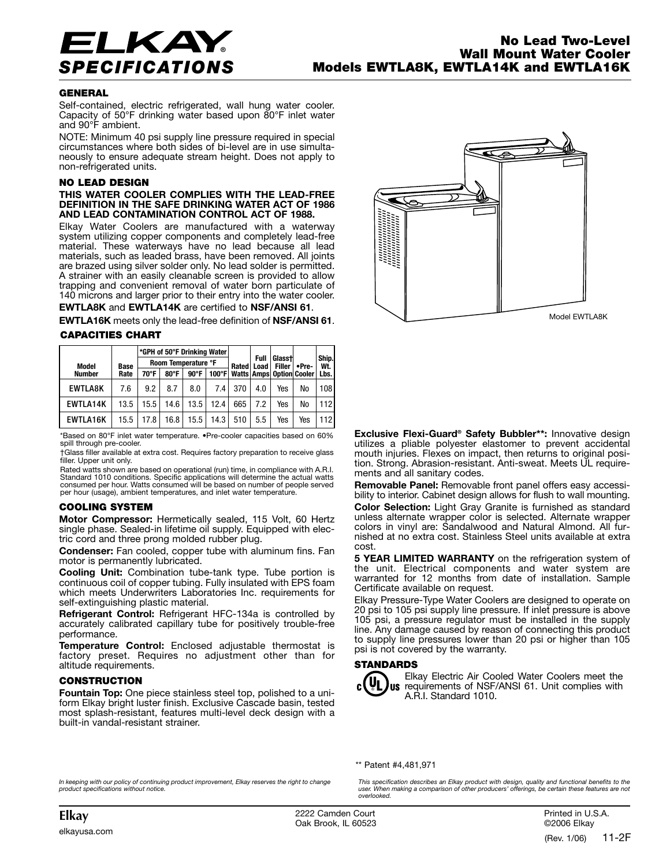

## **GENERAL**

Self-contained, electric refrigerated, wall hung water cooler. Capacity of 50°F drinking water based upon 80°F inlet water and 90°F ambient.

NOTE: Minimum 40 psi supply line pressure required in special circumstances where both sides of bi-level are in use simultaneously to ensure adequate stream height. Does not apply to non-refrigerated units.

## **NO LEAD DESIGN**

## **THIS WATER COOLER COMPLIES WITH THE LEAD-FREE DEFINITION IN THE SAFE DRINKING WATER ACT OF 1986 AND LEAD CONTAMINATION CONTROL ACT OF 1988.**

Elkay Water Coolers are manufactured with a waterway system utilizing copper components and completely lead-free material. These waterways have no lead because all lead materials, such as leaded brass, have been removed. All joints are brazed using silver solder only. No lead solder is permitted. A strainer with an easily cleanable screen is provided to allow trapping and convenient removal of water born particulate of 140 microns and larger prior to their entry into the water cooler.

**EWTLA8K** and **EWTLA14K** are certified to **NSF/ANSI 61**.

**EWTLA16K** meets only the lead-free definition of **NSF/ANSI 61**.

## **CAPACITIES CHART**

|                 |             | *GPH of 50°F Drinking Water |                |      |      | Full<br><b>Rated</b> |      |                                        |       |              |
|-----------------|-------------|-----------------------------|----------------|------|------|----------------------|------|----------------------------------------|-------|--------------|
| Model           | <b>Base</b> | Room Temperature °F         |                |      |      |                      | Load | Glasst<br><b>Filler</b>                | •Pre- | Ship.<br>Wt. |
| <b>Number</b>   | Rate        | 70°F                        | $80^{\circ}$ F | 90°F |      |                      |      | 100°F   Watts   Amps   Option   Cooler |       | Lbs.         |
| <b>EWTLA8K</b>  | 7.6         | 9.2                         | 8.7            | 8.0  | 7.4  | 370                  | 4.0  | Yes                                    | No    | 108          |
| <b>EWTLA14K</b> | 13.5        | 15.5                        | 14.6           | 13.5 | 12.4 | 665                  | 7.2  | Yes                                    | No    | 112          |
| <b>EWTLA16K</b> | 15.5        | 17.8                        | 16.8           | 15.5 | 14.3 | 510                  | 5.5  | Yes                                    | Yes   | 112          |

\*Based on 80°F inlet water temperature. •Pre-cooler capacities based on 60% spill through pre-cooler.

†Glass filler available at extra cost. Requires factory preparation to receive glass filler. Upper unit only.

Rated watts shown are based on operational (run) time, in compliance with A.R.I. Standard 1010 conditions. Specific applications will determine the actual watts consumed per hour. Watts consumed will be based on number of people served per hour (usage), ambient temperatures, and inlet water temperature.

## **COOLING SYSTEM**

**Motor Compressor:** Hermetically sealed, 115 Volt, 60 Hertz single phase. Sealed-in lifetime oil supply. Equipped with electric cord and three prong molded rubber plug.

**Condenser:** Fan cooled, copper tube with aluminum fins. Fan motor is permanently lubricated.

**Cooling Unit:** Combination tube-tank type. Tube portion is continuous coil of copper tubing. Fully insulated with EPS foam which meets Underwriters Laboratories Inc. requirements for self-extinguishing plastic material.

**Refrigerant Control:** Refrigerant HFC-134a is controlled by accurately calibrated capillary tube for positively trouble-free performance.

**Temperature Control:** Enclosed adjustable thermostat is factory preset. Requires no adjustment other than for altitude requirements.

## **CONSTRUCTION**

**Fountain Top:** One piece stainless steel top, polished to a uniform Elkay bright luster finish. Exclusive Cascade basin, tested most splash-resistant, features multi-level deck design with a built-in vandal-resistant strainer.



**Exclusive Flexi-Guard® Safety Bubbler\*\*:** Innovative design utilizes a pliable polyester elastomer to prevent accidental mouth injuries. Flexes on impact, then returns to original position. Strong. Abrasion-resistant. Anti-sweat. Meets UL requirements and all sanitary codes.

**Removable Panel:** Removable front panel offers easy accessibility to interior. Cabinet design allows for flush to wall mounting.

**Color Selection:** Light Gray Granite is furnished as standard unless alternate wrapper color is selected. Alternate wrapper colors in vinyl are: Sandalwood and Natural Almond. All furnished at no extra cost. Stainless Steel units available at extra cost.

**5 YEAR LIMITED WARRANTY** on the refrigeration system of the unit. Electrical components and water system are warranted for 12 months from date of installation. Sample Certificate available on request.

Elkay Pressure-Type Water Coolers are designed to operate on 20 psi to 105 psi supply line pressure. If inlet pressure is above 105 psi, a pressure regulator must be installed in the supply line. Any damage caused by reason of connecting this product to supply line pressures lower than 20 psi or higher than 105 psi is not covered by the warranty.

### **STANDARDS**



*overlooked.*

Elkay Electric Air Cooled Water Coolers meet the US requirements of NSF/ANSI 61. Unit complies with A.R.I. Standard 1010.

*This specification describes an Elkay product with design, quality and functional benefits to the*

\*\* Patent #4,481,971

*In keeping with our policy of continuing product improvement, Elkay reserves the right to change product specifications without notice.*

**Elkay** 2222 Camden Court Oak Brook, IL 60523